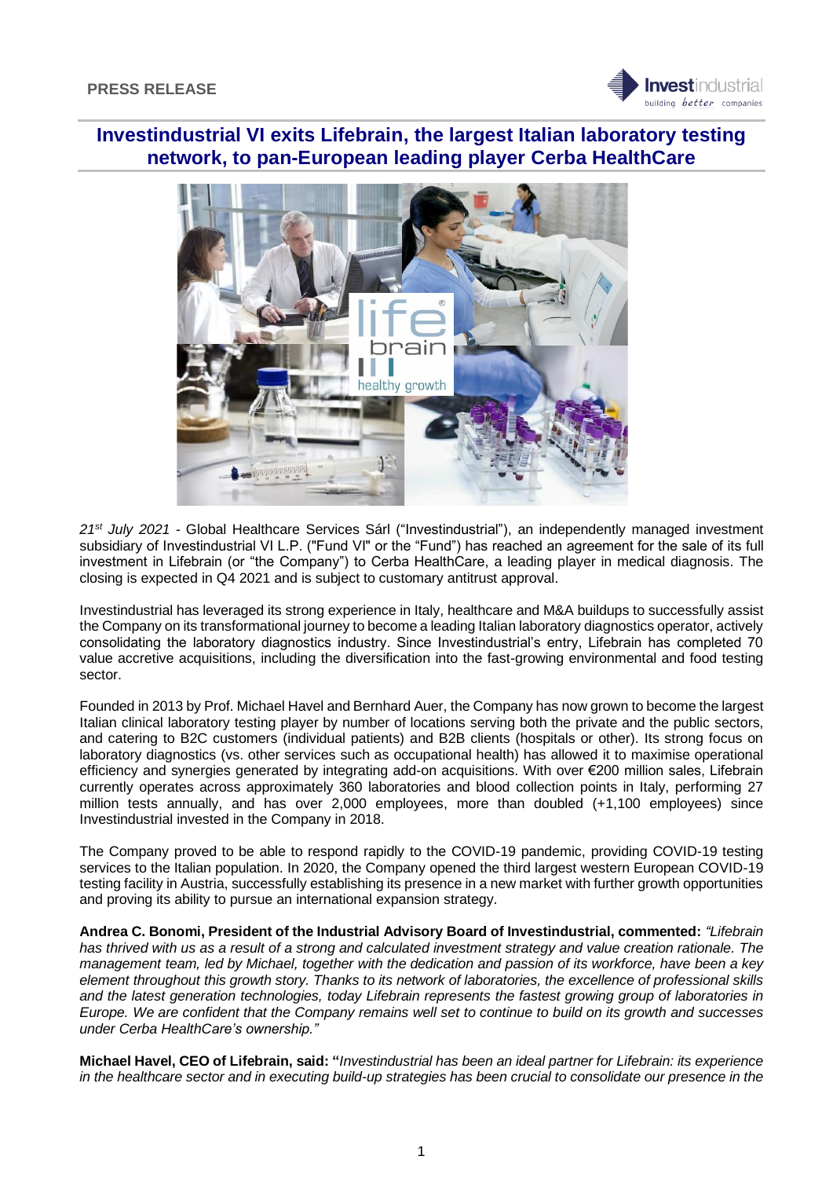

# **Investindustrial VI exits Lifebrain, the largest Italian laboratory testing network, to pan-European leading player Cerba HealthCare**



*21st July 2021* - Global Healthcare Services Sárl ("Investindustrial"), an independently managed investment subsidiary of Investindustrial VI L.P. ("Fund VI" or the "Fund") has reached an agreement for the sale of its full investment in Lifebrain (or "the Company") to Cerba HealthCare, a leading player in medical diagnosis. The closing is expected in Q4 2021 and is subject to customary antitrust approval.

Investindustrial has leveraged its strong experience in Italy, healthcare and M&A buildups to successfully assist the Company on its transformational journey to become a leading Italian laboratory diagnostics operator, actively consolidating the laboratory diagnostics industry. Since Investindustrial's entry, Lifebrain has completed 70 value accretive acquisitions, including the diversification into the fast-growing environmental and food testing sector.

Founded in 2013 by Prof. Michael Havel and Bernhard Auer, the Company has now grown to become the largest Italian clinical laboratory testing player by number of locations serving both the private and the public sectors, and catering to B2C customers (individual patients) and B2B clients (hospitals or other). Its strong focus on laboratory diagnostics (vs. other services such as occupational health) has allowed it to maximise operational efficiency and synergies generated by integrating add-on acquisitions. With over €200 million sales, Lifebrain currently operates across approximately 360 laboratories and blood collection points in Italy, performing 27 million tests annually, and has over 2,000 employees, more than doubled (+1,100 employees) since Investindustrial invested in the Company in 2018.

The Company proved to be able to respond rapidly to the COVID-19 pandemic, providing COVID-19 testing services to the Italian population. In 2020, the Company opened the third largest western European COVID-19 testing facility in Austria, successfully establishing its presence in a new market with further growth opportunities and proving its ability to pursue an international expansion strategy.

**Andrea C. Bonomi, President of the Industrial Advisory Board of Investindustrial, commented:** *"Lifebrain has thrived with us as a result of a strong and calculated investment strategy and value creation rationale. The management team, led by Michael, together with the dedication and passion of its workforce, have been a key element throughout this growth story. Thanks to its network of laboratories, the excellence of professional skills and the latest generation technologies, today Lifebrain represents the fastest growing group of laboratories in Europe. We are confident that the Company remains well set to continue to build on its growth and successes under Cerba HealthCare's ownership."*

**Michael Havel, CEO of Lifebrain, said: "***Investindustrial has been an ideal partner for Lifebrain: its experience in the healthcare sector and in executing build-up strategies has been crucial to consolidate our presence in the*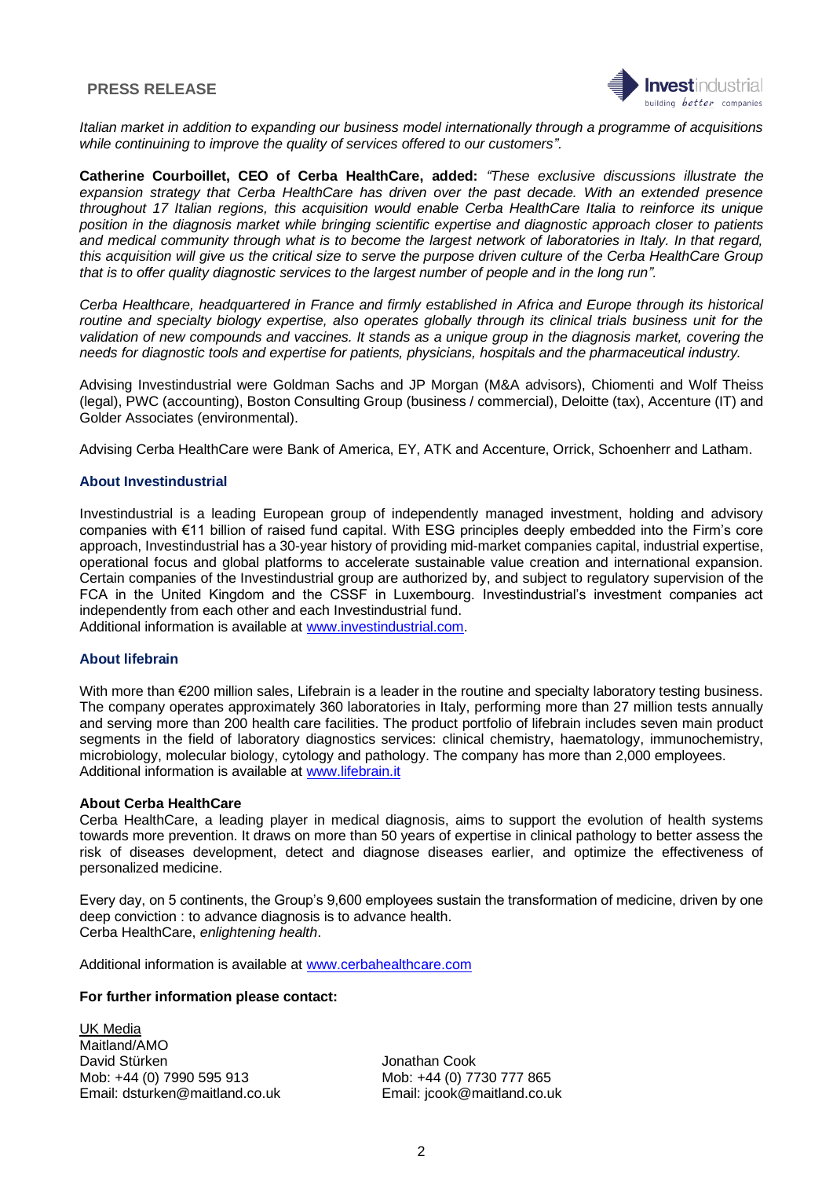### **PRESS RELEASE**



*Italian market in addition to expanding our business model internationally through a programme of acquisitions while continuining to improve the quality of services offered to our customers".*

**Catherine Courboillet, CEO of Cerba HealthCare, added:** *"These exclusive discussions illustrate the*  expansion strategy that Cerba HealthCare has driven over the past decade. With an extended presence *throughout 17 Italian regions, this acquisition would enable Cerba HealthCare Italia to reinforce its unique position in the diagnosis market while bringing scientific expertise and diagnostic approach closer to patients and medical community through what is to become the largest network of laboratories in Italy. In that regard, this acquisition will give us the critical size to serve the purpose driven culture of the Cerba HealthCare Group that is to offer quality diagnostic services to the largest number of people and in the long run".*

*Cerba Healthcare, headquartered in France and firmly established in Africa and Europe through its historical*  routine and specialty biology expertise, also operates globally through its clinical trials business unit for the *validation of new compounds and vaccines. It stands as a unique group in the diagnosis market, covering the needs for diagnostic tools and expertise for patients, physicians, hospitals and the pharmaceutical industry.* 

Advising Investindustrial were Goldman Sachs and JP Morgan (M&A advisors), Chiomenti and Wolf Theiss (legal), PWC (accounting), Boston Consulting Group (business / commercial), Deloitte (tax), Accenture (IT) and Golder Associates (environmental).

Advising Cerba HealthCare were Bank of America, EY, ATK and Accenture, Orrick, Schoenherr and Latham.

### **About Investindustrial**

Investindustrial is a leading European group of independently managed investment, holding and advisory companies with €11 billion of raised fund capital. With ESG principles deeply embedded into the Firm's core approach, Investindustrial has a 30-year history of providing mid-market companies capital, industrial expertise, operational focus and global platforms to accelerate sustainable value creation and international expansion. Certain companies of the Investindustrial group are authorized by, and subject to regulatory supervision of the FCA in the United Kingdom and the CSSF in Luxembourg. Investindustrial's investment companies act independently from each other and each Investindustrial fund. Additional information is available at [www.investindustrial.com.](http://www.investindustrial.com/)

# **About lifebrain**

With more than €200 million sales, Lifebrain is a leader in the routine and specialty laboratory testing business. The company operates approximately 360 laboratories in Italy, performing more than 27 million tests annually and serving more than 200 health care facilities. The product portfolio of lifebrain includes seven main product segments in the field of laboratory diagnostics services: clinical chemistry, haematology, immunochemistry, microbiology, molecular biology, cytology and pathology. The company has more than 2,000 employees. Additional information is available at [www.lifebrain.it](http://www.lifebrain.it/)

### **About Cerba HealthCare**

Cerba HealthCare, a leading player in medical diagnosis, aims to support the evolution of health systems towards more prevention. It draws on more than 50 years of expertise in clinical pathology to better assess the risk of diseases development, detect and diagnose diseases earlier, and optimize the effectiveness of personalized medicine.

Every day, on 5 continents, the Group's 9,600 employees sustain the transformation of medicine, driven by one deep conviction : to advance diagnosis is to advance health. Cerba HealthCare, *enlightening health*.

Additional information is available at [www.cerbahealthcare.com](http://www.cerbahealthcare.com/)

### **For further information please contact:**

UK Media Maitland/AMO David Stürken and David Stürken Jonathan Cook Mob: +44 (0) 7990 595 913<br>
Email: dsturken@maitland.co.uk Email: icook@maitland.co.u

Email: jcook@maitland.co.uk